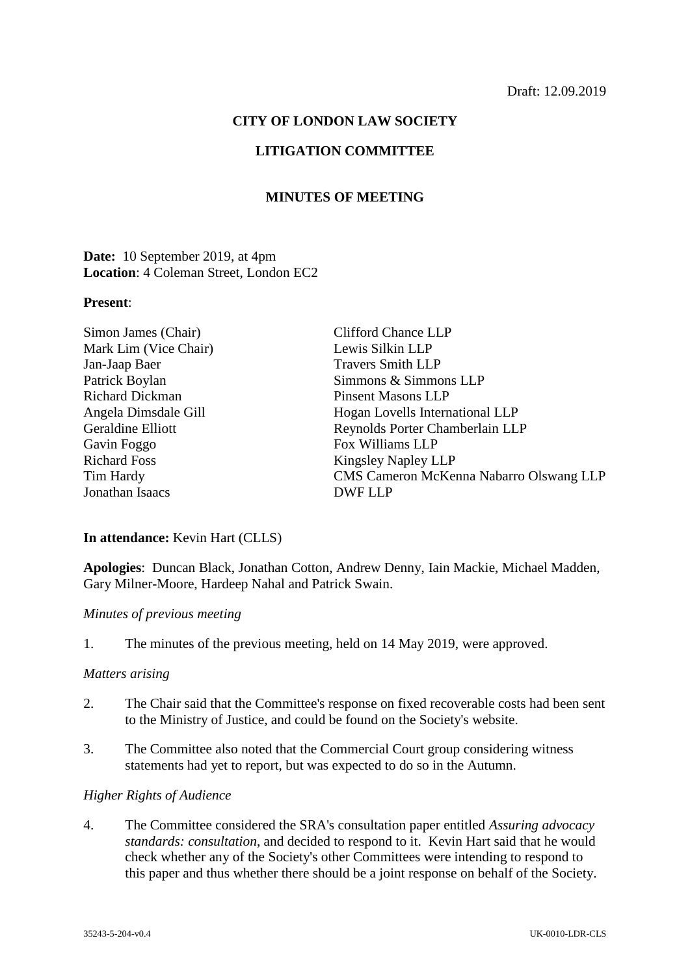### **CITY OF LONDON LAW SOCIETY**

# **LITIGATION COMMITTEE**

# **MINUTES OF MEETING**

**Date:** 10 September 2019, at 4pm **Location**: 4 Coleman Street, London EC2

#### **Present**:

| <b>Clifford Chance LLP</b>              |
|-----------------------------------------|
| Lewis Silkin LLP                        |
| <b>Travers Smith LLP</b>                |
| Simmons & Simmons LLP                   |
| <b>Pinsent Masons LLP</b>               |
| Hogan Lovells International LLP         |
| Reynolds Porter Chamberlain LLP         |
| Fox Williams LLP                        |
| <b>Kingsley Napley LLP</b>              |
| CMS Cameron McKenna Nabarro Olswang LLP |
| DWF LLP                                 |
|                                         |

# **In attendance:** Kevin Hart (CLLS)

**Apologies**: Duncan Black, Jonathan Cotton, Andrew Denny, Iain Mackie, Michael Madden, Gary Milner-Moore, Hardeep Nahal and Patrick Swain.

### *Minutes of previous meeting*

1. The minutes of the previous meeting, held on 14 May 2019, were approved.

#### *Matters arising*

- 2. The Chair said that the Committee's response on fixed recoverable costs had been sent to the Ministry of Justice, and could be found on the Society's website.
- 3. The Committee also noted that the Commercial Court group considering witness statements had yet to report, but was expected to do so in the Autumn.

### *Higher Rights of Audience*

4. The Committee considered the SRA's consultation paper entitled *Assuring advocacy standards: consultation*, and decided to respond to it. Kevin Hart said that he would check whether any of the Society's other Committees were intending to respond to this paper and thus whether there should be a joint response on behalf of the Society.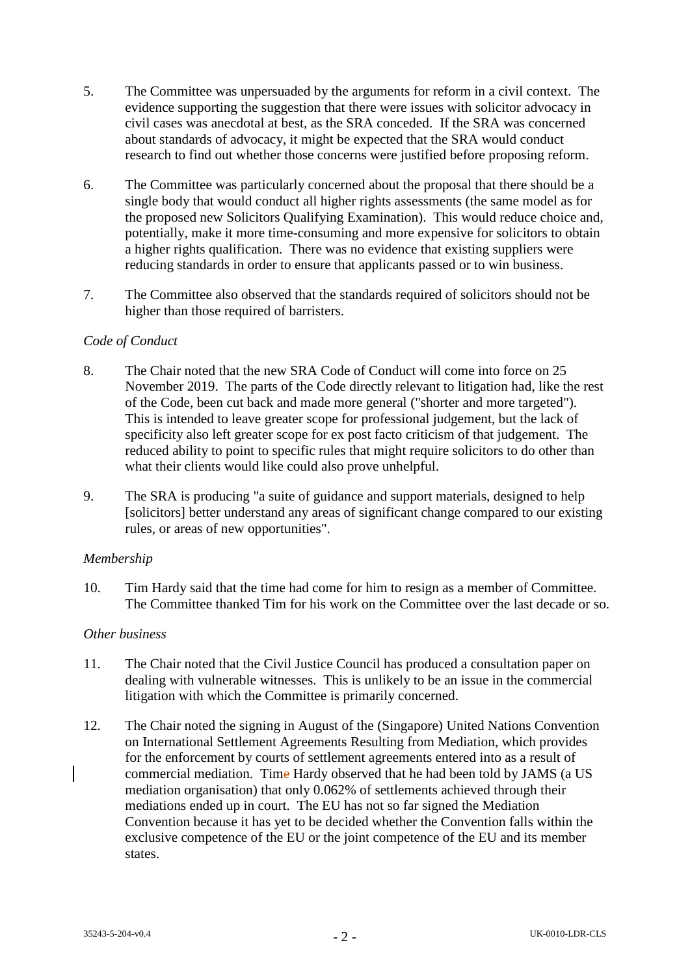- 5. The Committee was unpersuaded by the arguments for reform in a civil context. The evidence supporting the suggestion that there were issues with solicitor advocacy in civil cases was anecdotal at best, as the SRA conceded. If the SRA was concerned about standards of advocacy, it might be expected that the SRA would conduct research to find out whether those concerns were justified before proposing reform.
- 6. The Committee was particularly concerned about the proposal that there should be a single body that would conduct all higher rights assessments (the same model as for the proposed new Solicitors Qualifying Examination). This would reduce choice and, potentially, make it more time-consuming and more expensive for solicitors to obtain a higher rights qualification. There was no evidence that existing suppliers were reducing standards in order to ensure that applicants passed or to win business.
- 7. The Committee also observed that the standards required of solicitors should not be higher than those required of barristers.

# *Code of Conduct*

- 8. The Chair noted that the new SRA Code of Conduct will come into force on 25 November 2019. The parts of the Code directly relevant to litigation had, like the rest of the Code, been cut back and made more general ("shorter and more targeted"). This is intended to leave greater scope for professional judgement, but the lack of specificity also left greater scope for ex post facto criticism of that judgement. The reduced ability to point to specific rules that might require solicitors to do other than what their clients would like could also prove unhelpful.
- 9. The SRA is producing "a suite of guidance and support materials, designed to help [solicitors] better understand any areas of significant change compared to our existing rules, or areas of new opportunities".

## *Membership*

10. Tim Hardy said that the time had come for him to resign as a member of Committee. The Committee thanked Tim for his work on the Committee over the last decade or so.

## *Other business*

- 11. The Chair noted that the Civil Justice Council has produced a consultation paper on dealing with vulnerable witnesses. This is unlikely to be an issue in the commercial litigation with which the Committee is primarily concerned.
- 12. The Chair noted the signing in August of the (Singapore) United Nations Convention on International Settlement Agreements Resulting from Mediation, which provides for the enforcement by courts of settlement agreements entered into as a result of commercial mediation. Time Hardy observed that he had been told by JAMS (a US mediation organisation) that only 0.062% of settlements achieved through their mediations ended up in court. The EU has not so far signed the Mediation Convention because it has yet to be decided whether the Convention falls within the exclusive competence of the EU or the joint competence of the EU and its member states.